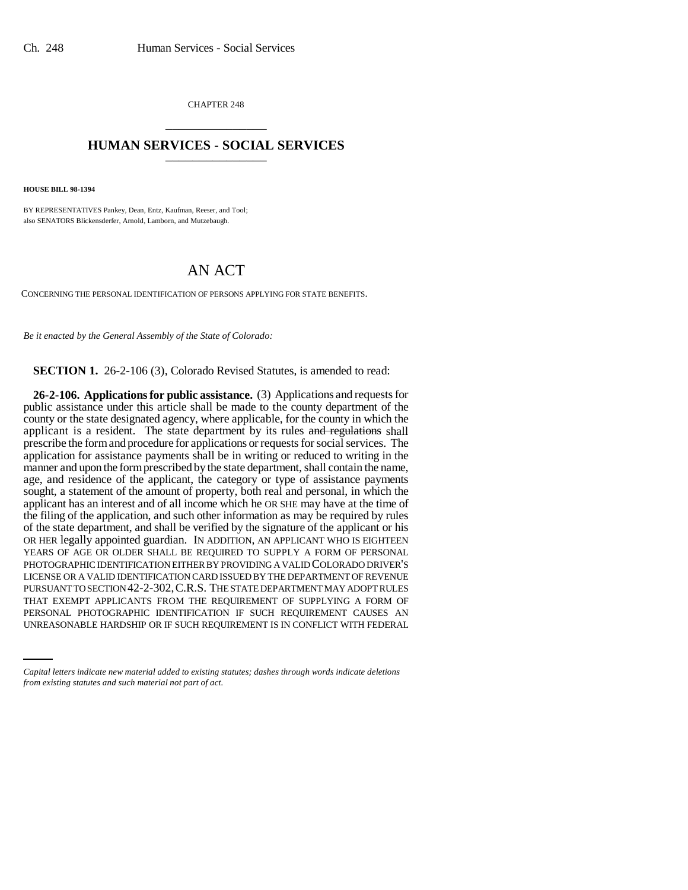CHAPTER 248 \_\_\_\_\_\_\_\_\_\_\_\_\_\_\_

## **HUMAN SERVICES - SOCIAL SERVICES** \_\_\_\_\_\_\_\_\_\_\_\_\_\_\_

**HOUSE BILL 98-1394**

BY REPRESENTATIVES Pankey, Dean, Entz, Kaufman, Reeser, and Tool; also SENATORS Blickensderfer, Arnold, Lamborn, and Mutzebaugh.

## AN ACT

CONCERNING THE PERSONAL IDENTIFICATION OF PERSONS APPLYING FOR STATE BENEFITS.

*Be it enacted by the General Assembly of the State of Colorado:*

**SECTION 1.** 26-2-106 (3), Colorado Revised Statutes, is amended to read:

THAT EXEMPT APPLICANTS FROM THE REQUIREMENT OF SUPPLYING A FORM OF **26-2-106. Applications for public assistance.** (3) Applications and requests for public assistance under this article shall be made to the county department of the county or the state designated agency, where applicable, for the county in which the applicant is a resident. The state department by its rules and regulations shall prescribe the form and procedure for applications or requests for social services. The application for assistance payments shall be in writing or reduced to writing in the manner and upon the form prescribed by the state department, shall contain the name, age, and residence of the applicant, the category or type of assistance payments sought, a statement of the amount of property, both real and personal, in which the applicant has an interest and of all income which he OR SHE may have at the time of the filing of the application, and such other information as may be required by rules of the state department, and shall be verified by the signature of the applicant or his OR HER legally appointed guardian. IN ADDITION, AN APPLICANT WHO IS EIGHTEEN YEARS OF AGE OR OLDER SHALL BE REQUIRED TO SUPPLY A FORM OF PERSONAL PHOTOGRAPHIC IDENTIFICATION EITHER BY PROVIDING A VALID COLORADO DRIVER'S LICENSE OR A VALID IDENTIFICATION CARD ISSUED BY THE DEPARTMENT OF REVENUE PURSUANT TO SECTION 42-2-302,C.R.S. THE STATE DEPARTMENT MAY ADOPT RULES PERSONAL PHOTOGRAPHIC IDENTIFICATION IF SUCH REQUIREMENT CAUSES AN UNREASONABLE HARDSHIP OR IF SUCH REQUIREMENT IS IN CONFLICT WITH FEDERAL

*Capital letters indicate new material added to existing statutes; dashes through words indicate deletions from existing statutes and such material not part of act.*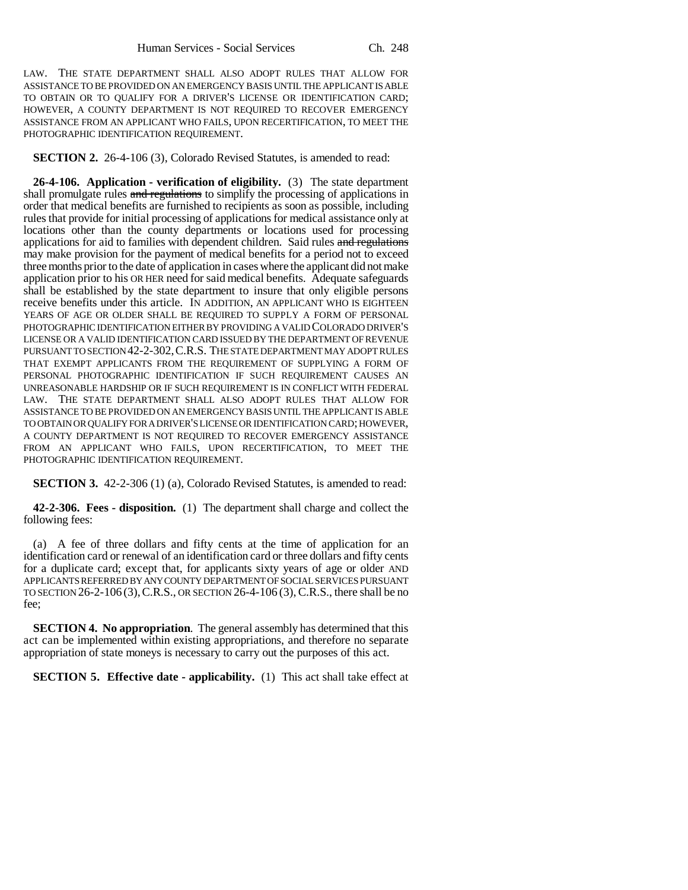LAW. THE STATE DEPARTMENT SHALL ALSO ADOPT RULES THAT ALLOW FOR ASSISTANCE TO BE PROVIDED ON AN EMERGENCY BASIS UNTIL THE APPLICANT IS ABLE TO OBTAIN OR TO QUALIFY FOR A DRIVER'S LICENSE OR IDENTIFICATION CARD; HOWEVER, A COUNTY DEPARTMENT IS NOT REQUIRED TO RECOVER EMERGENCY ASSISTANCE FROM AN APPLICANT WHO FAILS, UPON RECERTIFICATION, TO MEET THE PHOTOGRAPHIC IDENTIFICATION REQUIREMENT.

**SECTION 2.** 26-4-106 (3), Colorado Revised Statutes, is amended to read:

**26-4-106. Application - verification of eligibility.** (3) The state department shall promulgate rules and regulations to simplify the processing of applications in order that medical benefits are furnished to recipients as soon as possible, including rules that provide for initial processing of applications for medical assistance only at locations other than the county departments or locations used for processing applications for aid to families with dependent children. Said rules and regulations may make provision for the payment of medical benefits for a period not to exceed three months prior to the date of application in cases where the applicant did not make application prior to his OR HER need for said medical benefits. Adequate safeguards shall be established by the state department to insure that only eligible persons receive benefits under this article. IN ADDITION, AN APPLICANT WHO IS EIGHTEEN YEARS OF AGE OR OLDER SHALL BE REQUIRED TO SUPPLY A FORM OF PERSONAL PHOTOGRAPHIC IDENTIFICATION EITHER BY PROVIDING A VALID COLORADO DRIVER'S LICENSE OR A VALID IDENTIFICATION CARD ISSUED BY THE DEPARTMENT OF REVENUE PURSUANT TO SECTION 42-2-302, C.R.S. THE STATE DEPARTMENT MAY ADOPT RULES THAT EXEMPT APPLICANTS FROM THE REQUIREMENT OF SUPPLYING A FORM OF PERSONAL PHOTOGRAPHIC IDENTIFICATION IF SUCH REQUIREMENT CAUSES AN UNREASONABLE HARDSHIP OR IF SUCH REQUIREMENT IS IN CONFLICT WITH FEDERAL LAW. THE STATE DEPARTMENT SHALL ALSO ADOPT RULES THAT ALLOW FOR ASSISTANCE TO BE PROVIDED ON AN EMERGENCY BASIS UNTIL THE APPLICANT IS ABLE TO OBTAIN OR QUALIFY FOR A DRIVER'S LICENSE OR IDENTIFICATION CARD; HOWEVER, A COUNTY DEPARTMENT IS NOT REQUIRED TO RECOVER EMERGENCY ASSISTANCE FROM AN APPLICANT WHO FAILS, UPON RECERTIFICATION, TO MEET THE PHOTOGRAPHIC IDENTIFICATION REQUIREMENT.

**SECTION 3.** 42-2-306 (1) (a), Colorado Revised Statutes, is amended to read:

**42-2-306. Fees - disposition.** (1) The department shall charge and collect the following fees:

(a) A fee of three dollars and fifty cents at the time of application for an identification card or renewal of an identification card or three dollars and fifty cents for a duplicate card; except that, for applicants sixty years of age or older AND APPLICANTS REFERRED BY ANY COUNTY DEPARTMENT OF SOCIAL SERVICES PURSUANT TO SECTION 26-2-106 (3),C.R.S., OR SECTION 26-4-106 (3),C.R.S., there shall be no fee;

**SECTION 4. No appropriation**. The general assembly has determined that this act can be implemented within existing appropriations, and therefore no separate appropriation of state moneys is necessary to carry out the purposes of this act.

**SECTION 5. Effective date - applicability.** (1) This act shall take effect at